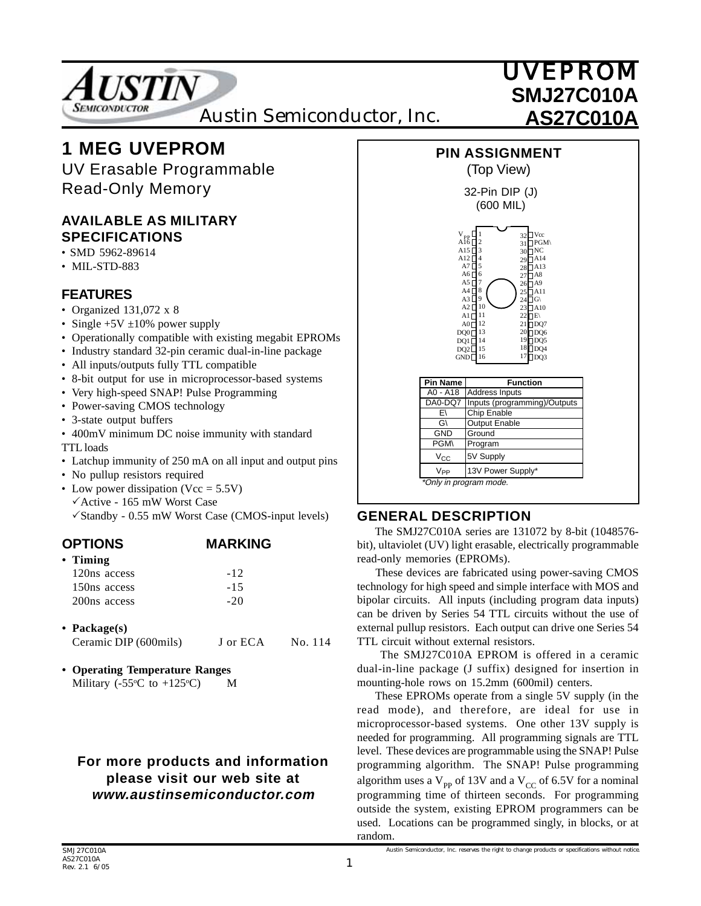

# **1 MEG UVEPROM**

UV Erasable Programmable Read-Only Memory

### **AVAILABLE AS MILITARY SPECIFICATIONS**

- SMD 5962-89614
- MIL-STD-883

## **FEATURES**

- Organized 131,072 x 8
- Single  $+5V \pm 10\%$  power supply
- Operationally compatible with existing megabit EPROMs
- Industry standard 32-pin ceramic dual-in-line package
- All inputs/outputs fully TTL compatible
- 8-bit output for use in microprocessor-based systems
- Very high-speed SNAP! Pulse Programming
- Power-saving CMOS technology
- 3-state output buffers
- 400mV minimum DC noise immunity with standard TTL loads
- Latchup immunity of 250 mA on all input and output pins
- No pullup resistors required
- Low power dissipation (Vcc  $= 5.5V$ )  $\checkmark$ Active - 165 mW Worst Case  $\checkmark$ Standby - 0.55 mW Worst Case (CMOS-input levels)

| <b>OPTIONS</b>           | <b>MARKING</b> |
|--------------------------|----------------|
| $\cdot$ Timing           |                |
| 120ns access             | $-12$          |
| 150ns access             | $-1.5$         |
| 200 <sub>ns</sub> access | $-20$          |
|                          |                |

- **Package(s)** Ceramic DIP (600mils) J or ECA No. 114
- **Operating Temperature Ranges** Military ( $-55^{\circ}$ C to  $+125^{\circ}$ C) M

### **For more products and information please visit our web site at www.austinsemiconductor.com**



### **GENERAL DESCRIPTION**

 The SMJ27C010A series are 131072 by 8-bit (1048576 bit), ultaviolet (UV) light erasable, electrically programmable read-only memories (EPROMs).

 These devices are fabricated using power-saving CMOS technology for high speed and simple interface with MOS and bipolar circuits. All inputs (including program data inputs) can be driven by Series 54 TTL circuits without the use of external pullup resistors. Each output can drive one Series 54 TTL circuit without external resistors.

 The SMJ27C010A EPROM is offered in a ceramic dual-in-line package (J suffix) designed for insertion in mounting-hole rows on 15.2mm (600mil) centers.

 These EPROMs operate from a single 5V supply (in the read mode), and therefore, are ideal for use in microprocessor-based systems. One other 13V supply is needed for programming. All programming signals are TTL level. These devices are programmable using the SNAP! Pulse programming algorithm. The SNAP! Pulse programming algorithm uses a  $V_{pp}$  of 13V and a  $V_{CC}$  of 6.5V for a nominal programming time of thirteen seconds. For programming outside the system, existing EPROM programmers can be used. Locations can be programmed singly, in blocks, or at random.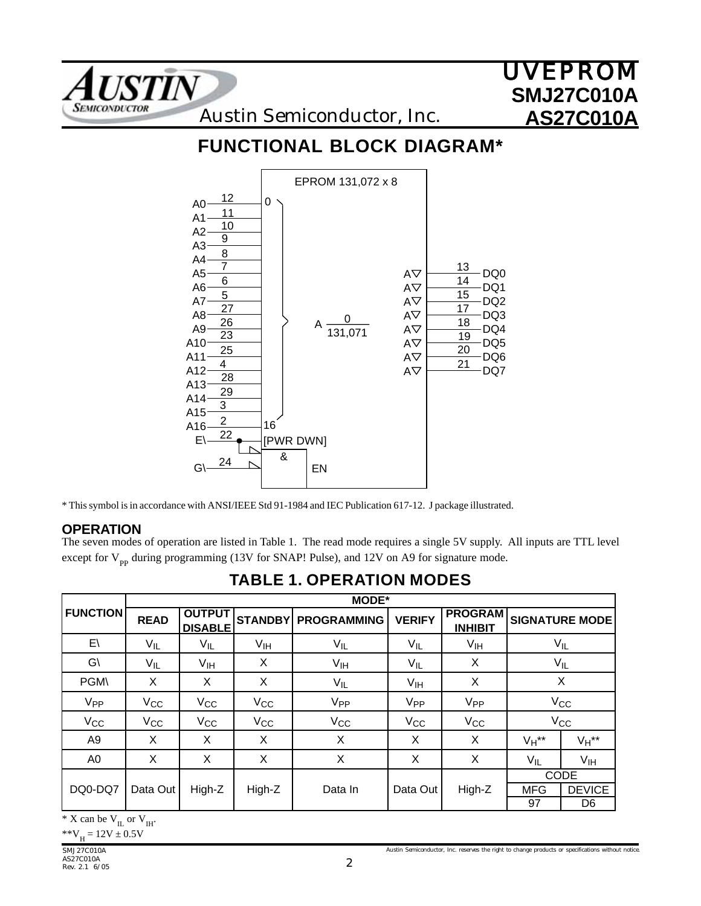

## **FUNCTIONAL BLOCK DIAGRAM\***



\* This symbol is in accordance with ANSI/IEEE Std 91-1984 and IEC Publication 617-12. J package illustrated.

#### **OPERATION**

The seven modes of operation are listed in Table 1. The read mode requires a single 5V supply. All inputs are TTL level except for  $V_{pp}$  during programming (13V for SNAP! Pulse), and 12V on A9 for signature mode.

|                 |             |                                 |                 | <b>MODE*</b>       |                 |                                  |            |                        |
|-----------------|-------------|---------------------------------|-----------------|--------------------|-----------------|----------------------------------|------------|------------------------|
| <b>FUNCTION</b> | <b>READ</b> | <b>OUTPUT</b><br><b>DISABLE</b> | <b>STANDBY</b>  | <b>PROGRAMMING</b> | <b>VERIFY</b>   | <b>PROGRAM</b><br><b>INHIBIT</b> |            | <b>SIGNATURE MODE!</b> |
| $E\setminus$    | $V_{IL}$    | $V_{IL}$                        | $V_{\text{IH}}$ | $V_{IL}$           | $V_{ L}$        | $V_{\mathsf{IH}}$                |            | $V_{IL}$               |
| $G\setminus$    | $V_{IL}$    | V <sub>IH</sub>                 | X               | V <sub>IH</sub>    | $V_{IL}$        | X                                |            | $V_{IL}$               |
| <b>PGM\</b>     | Χ           | X                               | X               | $V_{IL}$           | V <sub>IH</sub> | X                                |            | X                      |
| V <sub>PP</sub> | $V_{CC}$    | $V_{CC}$                        | $V_{CC}$        | V <sub>PP</sub>    | V <sub>PP</sub> | V <sub>PP</sub>                  |            | $V_{\rm CC}$           |
| $V_{CC}$        | $V_{CC}$    | $V_{\rm CC}$                    | $V_{\rm CC}$    | $V_{CC}$           | $V_{CC}$        | $V_{CC}$                         |            | $V_{\rm CC}$           |
| A9              | X           | X                               | X               | Χ                  | X               | X                                | $V_H$ **   | $V_H$ **               |
| A0              | Χ           | Χ                               | Χ               | Χ                  | X               | X                                | $V_{IL}$   | V <sub>IH</sub>        |
|                 |             |                                 |                 |                    |                 |                                  |            | <b>CODE</b>            |
| DQ0-DQ7         | Data Out    | High-Z                          | High-Z          | Data In            | Data Out        | High-Z                           | <b>MFG</b> | <b>DEVICE</b>          |
|                 |             |                                 |                 |                    |                 |                                  | 97         | D6                     |

## **TABLE 1. OPERATION MODES**

 $*$  X can be  $V_{IL}$  or  $V_{IH}$ .

 $*V_{\rm H} = 12V \pm 0.5V$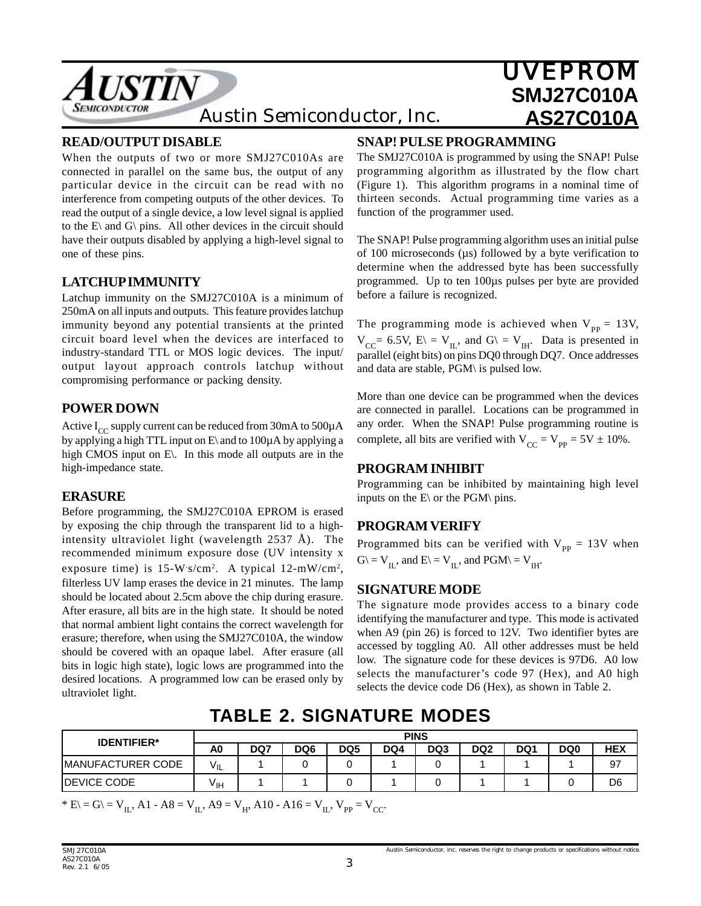

#### **READ/OUTPUT DISABLE**

When the outputs of two or more SMJ27C010As are connected in parallel on the same bus, the output of any particular device in the circuit can be read with no interference from competing outputs of the other devices. To read the output of a single device, a low level signal is applied to the  $E\$  and  $G\$  pins. All other devices in the circuit should have their outputs disabled by applying a high-level signal to one of these pins.

#### **LATCHUP IMMUNITY**

Latchup immunity on the SMJ27C010A is a minimum of 250mA on all inputs and outputs. This feature provides latchup immunity beyond any potential transients at the printed circuit board level when the devices are interfaced to industry-standard TTL or MOS logic devices. The input/ output layout approach controls latchup without compromising performance or packing density.

#### **POWER DOWN**

Active  $I_{CC}$  supply current can be reduced from 30mA to 500 $\mu$ A by applying a high TTL input on  $E\$  and to 100 $\mu$ A by applying a high CMOS input on E. In this mode all outputs are in the high-impedance state.

#### **ERASURE**

Before programming, the SMJ27C010A EPROM is erased by exposing the chip through the transparent lid to a highintensity ultraviolet light (wavelength 2537 Å). The recommended minimum exposure dose (UV intensity x exposure time) is  $15-W \cdot s/cm^2$ . A typical  $12-mW/cm^2$ , filterless UV lamp erases the device in 21 minutes. The lamp should be located about 2.5cm above the chip during erasure. After erasure, all bits are in the high state. It should be noted that normal ambient light contains the correct wavelength for erasure; therefore, when using the SMJ27C010A, the window should be covered with an opaque label. After erasure (all bits in logic high state), logic lows are programmed into the desired locations. A programmed low can be erased only by ultraviolet light.

#### **SNAP! PULSE PROGRAMMING**

The SMJ27C010A is programmed by using the SNAP! Pulse programming algorithm as illustrated by the flow chart (Figure 1). This algorithm programs in a nominal time of thirteen seconds. Actual programming time varies as a function of the programmer used.

The SNAP! Pulse programming algorithm uses an initial pulse of 100 microseconds  $(\mu s)$  followed by a byte verification to determine when the addressed byte has been successfully programmed. Up to ten 100µs pulses per byte are provided before a failure is recognized.

The programming mode is achieved when  $V_{\text{pp}} = 13V$ ,  $V_{CC}$ = 6.5V, E\ = V<sub>IL</sub>, and G\ = V<sub>IH</sub>. Data is presented in parallel (eight bits) on pins DQ0 through DQ7. Once addresses and data are stable, PGM\ is pulsed low.

More than one device can be programmed when the devices are connected in parallel. Locations can be programmed in any order. When the SNAP! Pulse programming routine is complete, all bits are verified with  $V_{CC} = V_{pp} = 5V \pm 10\%$ .

#### **PROGRAM INHIBIT**

Programming can be inhibited by maintaining high level inputs on the  $E\$  or the PGM\ pins.

#### **PROGRAM VERIFY**

Programmed bits can be verified with  $V_{\text{pp}} = 13V$  when  $G \backslash = V_{II}$ , and  $E \backslash = V_{II}$ , and  $PGM \backslash = V_{III}$ .

#### **SIGNATURE MODE**

The signature mode provides access to a binary code identifying the manufacturer and type. This mode is activated when A9 (pin 26) is forced to 12V. Two identifier bytes are accessed by toggling A0. All other addresses must be held low. The signature code for these devices is 97D6. A0 low selects the manufacturer's code 97 (Hex), and A0 high selects the device code D6 (Hex), as shown in Table 2.

## **TABLE 2. SIGNATURE MODES**

| <b>IDENTIFIER*</b>       |              |     |     |                 | <b>PINS</b> |     |                 |     |     |                |
|--------------------------|--------------|-----|-----|-----------------|-------------|-----|-----------------|-----|-----|----------------|
|                          | A0           | DQ7 | DQ6 | DQ <sub>5</sub> | DQ4         | DQ3 | DQ <sub>2</sub> | DQ1 | DQ0 | <b>HEX</b>     |
| <b>MANUFACTURER CODE</b> | $V_{\sf IL}$ |     |     |                 |             |     |                 |     |     | 97             |
| <b>IDEVICE CODE</b>      | ۷ін          |     |     |                 |             |     |                 |     |     | D <sub>6</sub> |

\* E\ = G\ = V<sub>II</sub>, A1 - A8 = V<sub>II</sub>, A9 = V<sub>H</sub>, A10 - A16 = V<sub>II</sub>, V<sub>PP</sub> = V<sub>CC</sub>.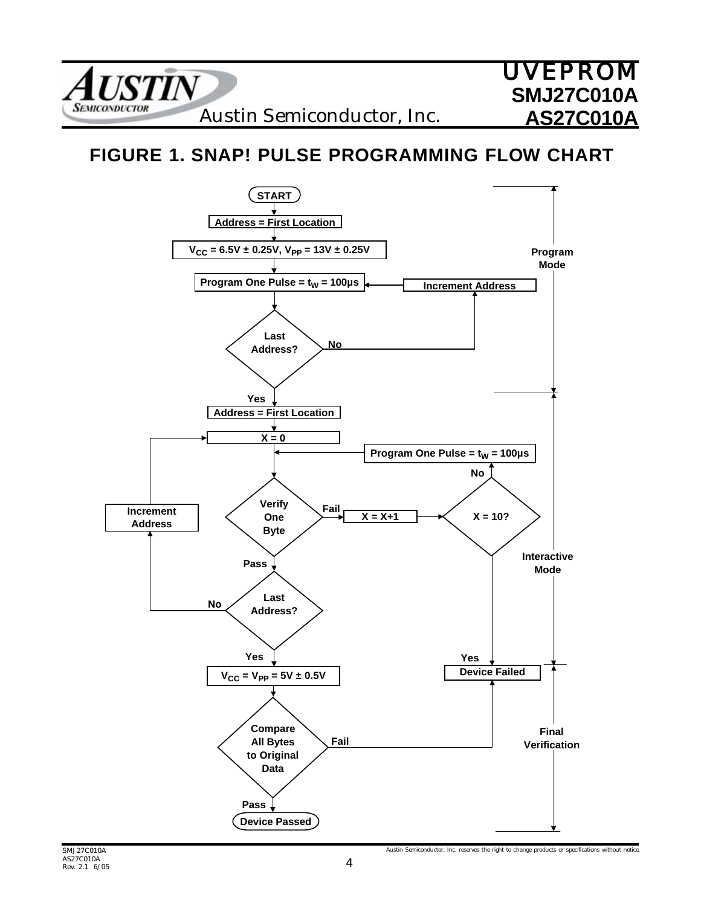

## **FIGURE 1. SNAP! PULSE PROGRAMMING FLOW CHART**



Austin Semiconductor, Inc. reserves the right to change products or specifications without notice.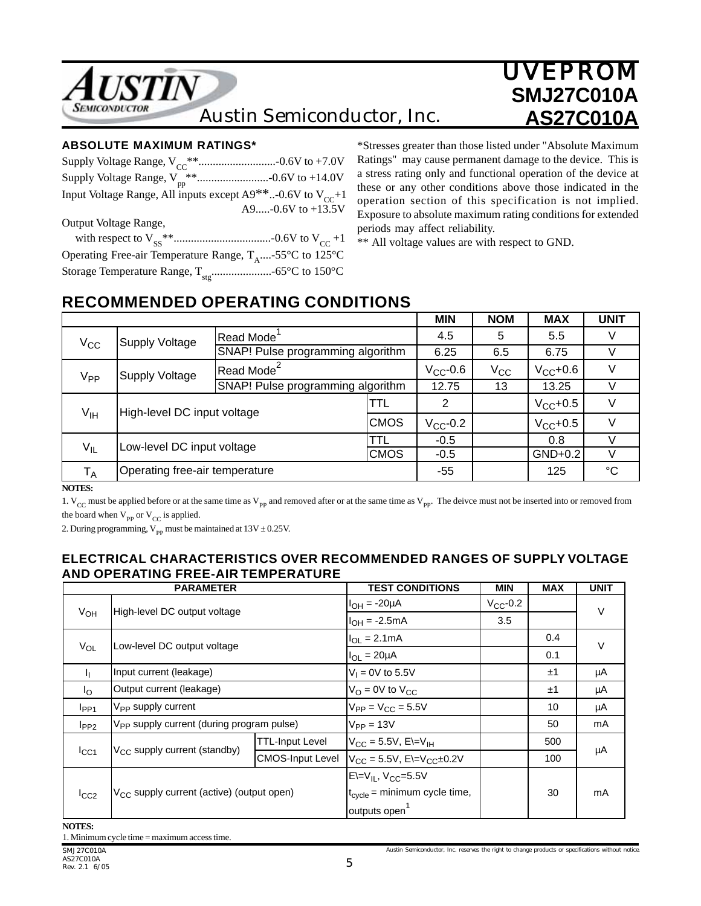

#### **ABSOLUTE MAXIMUM RATINGS\***

| Input Voltage Range, All inputs except $A9***$ . -0.6V to $V_{cc}$ +1 |
|-----------------------------------------------------------------------|
| A9-0.6V to +13.5V                                                     |
| Output Voltage Range,                                                 |
|                                                                       |
| Operating Free-air Temperature Range, $T_{A}$ -55°C to 125°C          |
|                                                                       |
|                                                                       |

\*Stresses greater than those listed under "Absolute Maximum Ratings" may cause permanent damage to the device. This is a stress rating only and functional operation of the device at these or any other conditions above those indicated in the operation section of this specification is not implied. Exposure to absolute maximum rating conditions for extended periods may affect reliability.

\*\* All voltage values are with respect to GND.

## **RECOMMENDED OPERATING CONDITIONS**

|                            |                                |                                   |                                   | <b>MIN</b>    | <b>NOM</b> | <b>MAX</b>    | <b>UNIT</b> |
|----------------------------|--------------------------------|-----------------------------------|-----------------------------------|---------------|------------|---------------|-------------|
| $V_{CC}$                   | <b>Supply Voltage</b>          | Read Mode                         |                                   | 4.5           | 5          | 5.5           |             |
|                            |                                | SNAP! Pulse programming algorithm |                                   | 6.25          | 6.5        | 6.75          |             |
| V <sub>PP</sub>            | Supply Voltage                 | Read Mode <sup>2</sup>            |                                   |               | $V_{CC}$   | $V_{CC}$ +0.6 |             |
|                            |                                |                                   | SNAP! Pulse programming algorithm |               | 13         | 13.25         |             |
| $V_{\text{IH}}$            | High-level DC input voltage    |                                   |                                   | 2             |            | $V_{CC}$ +0.5 |             |
|                            |                                |                                   | <b>CMOS</b>                       | $V_{CC}$ -0.2 |            | $V_{CC}$ +0.5 |             |
| Low-level DC input voltage |                                | TTL                               | $-0.5$                            |               | 0.8        |               |             |
|                            | $V_{IL}$                       |                                   | <b>CMOS</b>                       | $-0.5$        |            | $GND+0.2$     |             |
| $T_A$                      | Operating free-air temperature |                                   |                                   |               |            | 125           | °C          |

**NOTES:**

1.  $V_{CC}$  must be applied before or at the same time as  $V_{PP}$  and removed after or at the same time as  $V_{PP}$ . The deivce must not be inserted into or removed from the board when  $V_{\text{PP}}$  or  $V_{\text{CC}}$  is applied.

2. During programming,  $V_{\text{pp}}$  must be maintained at 13V  $\pm$  0.25V.

#### **ELECTRICAL CHARACTERISTICS OVER RECOMMENDED RANGES OF SUPPLY VOLTAGE AND OPERATING FREE-AIR TEMPERATURE**

|                 | <b>PARAMETER</b>                                      |                         | <b>TEST CONDITIONS</b>                    | <b>MIN</b>    | <b>MAX</b> | <b>UNIT</b> |
|-----------------|-------------------------------------------------------|-------------------------|-------------------------------------------|---------------|------------|-------------|
|                 | High-level DC output voltage                          |                         | $IOH = -20µA$                             | $V_{CC}$ -0.2 |            | $\vee$      |
| V <sub>OH</sub> |                                                       |                         | $I_{OH} = -2.5mA$                         | 3.5           |            |             |
|                 |                                                       |                         | $I_{OL} = 2.1 \text{mA}$                  |               | 0.4        | $\vee$      |
| $V_{OL}$        | Low-level DC output voltage                           |                         | $I_{OL} = 20 \mu A$                       |               | 0.1        |             |
| J,              | Input current (leakage)                               |                         | $V_1 = 0V$ to 5.5V                        |               | ±1         | μA          |
| $I_{\Omega}$    | Output current (leakage)                              |                         | $V_{\Omega}$ = 0V to $V_{\text{CC}}$      |               | ±1         | μA          |
| $I_{PP1}$       | V <sub>PP</sub> supply current                        |                         | $V_{PP} = V_{CC} = 5.5V$                  |               | 10         | μA          |
| $I_{PP2}$       | V <sub>PP</sub> supply current (during program pulse) |                         | $V_{PP} = 13V$                            |               | 50         | mA          |
|                 |                                                       | TTL-Input Level         | $V_{CC} = 5.5V$ , E $=V_{IH}$             |               | 500        |             |
| $I_{CC1}$       | V <sub>CC</sub> supply current (standby)              | <b>CMOS-Input Level</b> | $V_{CC}$ = 5.5V, E\=V <sub>CC</sub> ±0.2V |               | 100        | μA          |
|                 | V <sub>CC</sub> supply current (active) (output open) |                         | $E=V_{IL}$ , $V_{CC}=5.5V$                |               |            |             |
| $I_{CC2}$       |                                                       |                         | $t_{cycle}$ = minimum cycle time,         |               | 30         | mA          |
|                 |                                                       |                         | outputs open                              |               |            |             |

**NOTES:**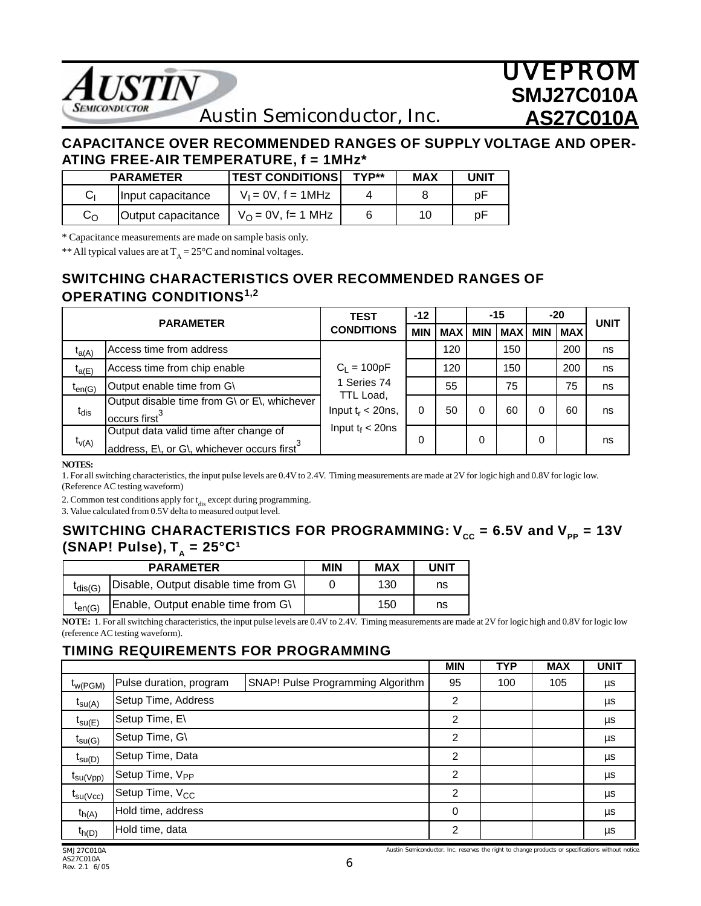

Austin Semiconductor, Inc.

### **CAPACITANCE OVER RECOMMENDED RANGES OF SUPPLY VOLTAGE AND OPER-ATING FREE-AIR TEMPERATURE, f = 1MHz\***

|              | <b>PARAMETER</b>   | <b>TEST CONDITIONS</b>  | TYP** | <b>MAX</b> | UNIT |
|--------------|--------------------|-------------------------|-------|------------|------|
|              | Input capacitance  | $V_1 = 0V$ , $f = 1MHz$ |       |            | рF   |
| $C_{\Omega}$ | Output capacitance | $V_O = 0V$ , f= 1 MHz   |       | 10         | рF   |

\* Capacitance measurements are made on sample basis only.

\*\* All typical values are at  $T_A = 25^{\circ}C$  and nominal voltages.

### **SWITCHING CHARACTERISTICS OVER RECOMMENDED RANGES OF OPERATING CONDITIONS1,2**

| <b>PARAMETER</b> |                                                                                                   | <b>TEST</b>                       | $-12$      |            |     | $-15$      |            | $-20$      | <b>UNIT</b> |
|------------------|---------------------------------------------------------------------------------------------------|-----------------------------------|------------|------------|-----|------------|------------|------------|-------------|
|                  |                                                                                                   | <b>CONDITIONS</b>                 | <b>MIN</b> | <b>MAX</b> | MIN | <b>MAX</b> | <b>MIN</b> | <b>MAX</b> |             |
| $t_{a(A)}$       | Access time from address                                                                          |                                   |            | 120        |     | 150        |            | 200        | ns          |
| $t_{a(E)}$       | Access time from chip enable                                                                      | $C_L = 100pF$                     |            | 120        |     | 150        |            | 200        | ns          |
| $t_{en(G)}$      | Output enable time from G\                                                                        | 1 Series 74                       |            | 55         |     | 75         |            | 75         | ns          |
| $t_{dis}$        | Output disable time from G\ or E\, whichever<br>occurs first <sup>3</sup>                         | TTL Load,<br>Input $t_r < 20$ ns, | 0          | 50         | 0   | 60         | 0          | 60         | ns          |
| $t_{V(A)}$       | Output data valid time after change of<br>address, E\, or G\, whichever occurs first <sup>3</sup> | Input $t_f < 20$ ns               | $\Omega$   |            | 0   |            | 0          |            | ns          |

#### **NOTES:**

1. For all switching characteristics, the input pulse levels are 0.4V to 2.4V. Timing measurements are made at 2V for logic high and 0.8V for logic low. (Reference AC testing waveform)

2. Common test conditions apply for  $t_{dis}$  except during programming.

3. Value calculated from 0.5V delta to measured output level.

### **SWITCHING CHARACTERISTICS FOR PROGRAMMING:**  $V_{cc}$  **= 6.5V and**  $V_{pp}$  **= 13V (SNAP! Pulse),**  $T_A = 25^{\circ}C^1$

|              | <b>PARAMETER</b>                     | <b>MIN</b> | <b>MAX</b> | <b>UNIT</b> |
|--------------|--------------------------------------|------------|------------|-------------|
| $t_{dis(G)}$ | Disable, Output disable time from G\ |            | 130        | ns          |
| $t_{en(G)}$  | Enable, Output enable time from G\   |            | 150        | ns          |

**NOTE:** 1. For all switching characteristics, the input pulse levels are 0.4V to 2.4V. Timing measurements are made at 2V for logic high and 0.8V for logic low (reference AC testing waveform).

### **TIMING REQUIREMENTS FOR PROGRAMMING**

|                      |                             |                                   | <b>MIN</b>     | <b>TYP</b> | <b>MAX</b> | <b>UNIT</b> |
|----------------------|-----------------------------|-----------------------------------|----------------|------------|------------|-------------|
| $t_{W(PGM)}$         | Pulse duration, program     | SNAP! Pulse Programming Algorithm | 95             | 100        | 105        | μs          |
| $t_{\text{SU(A)}}$   | Setup Time, Address         |                                   | 2              |            |            | μs          |
| $t_{\text{SU}(E)}$   | Setup Time, E\              |                                   | 2              |            |            | μs          |
| $t_{\text{SU(G)}}$   | Setup Time, G\              |                                   | $\overline{2}$ |            |            | μs          |
| $t_{\text{SU}(D)}$   | Setup Time, Data            |                                   | 2              |            |            | μs          |
| $t_{\text{su(Vpp)}}$ | Setup Time, V <sub>PP</sub> |                                   | 2              |            |            | μs          |
| $t_{\text{SU}(VCC)}$ | Setup Time, V <sub>CC</sub> |                                   | $\overline{2}$ |            |            | μs          |
| $t_{h(A)}$           | Hold time, address          |                                   | 0              |            |            | μs          |
| $t_{h(D)}$           | Hold time, data             |                                   | $\mathcal{P}$  |            |            | μs          |

Austin Semiconductor, Inc. reserves the right to change products or specifications without notice.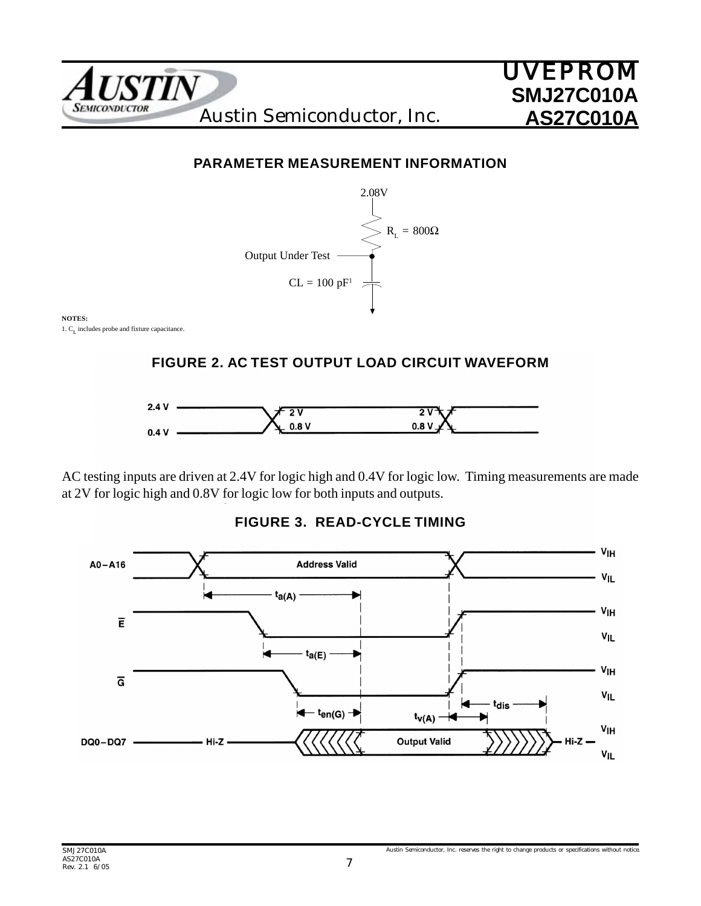

## **PARAMETER MEASUREMENT INFORMATION**



**NOTES:** 1.  $C_{I}$  includes probe and fixture capacitance.

### **FIGURE 2. AC TEST OUTPUT LOAD CIRCUIT WAVEFORM**



AC testing inputs are driven at 2.4V for logic high and 0.4V for logic low. Timing measurements are made at 2V for logic high and 0.8V for logic low for both inputs and outputs.



### **FIGURE 3. READ-CYCLE TIMING**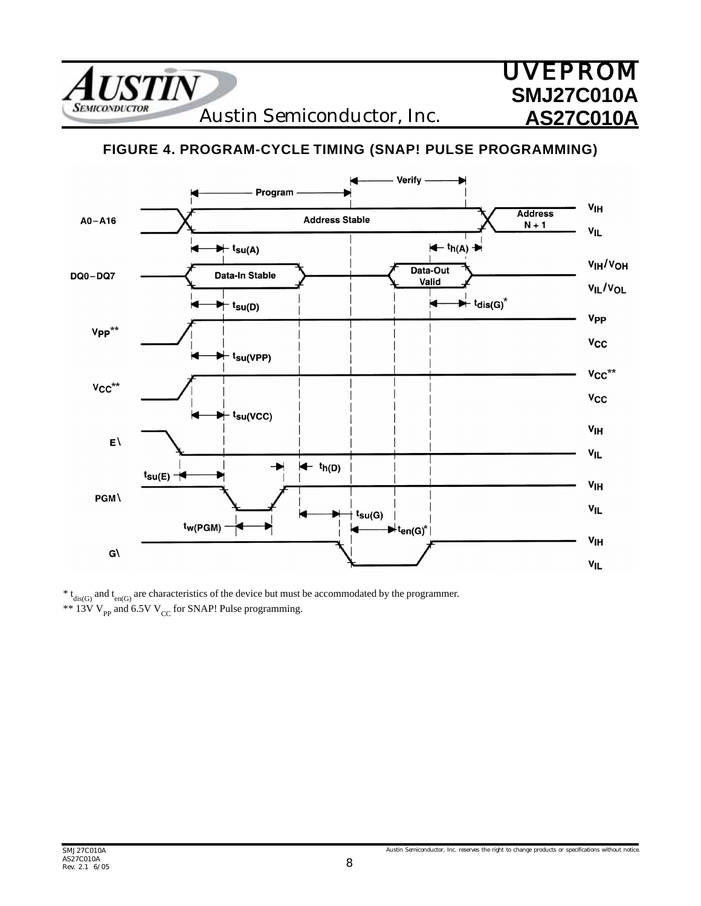**USTIN SEMICONDUCTOR** 

Austin Semiconductor, Inc.

## **FIGURE 4. PROGRAM-CYCLE TIMING (SNAP! PULSE PROGRAMMING)**



 $* t_{dis(G)}$  and  $t_{en(G)}$  are characteristics of the device but must be accommodated by the programmer. \*\* 13V  $V_{\text{pp}}$  and 6.5V  $V_{\text{CC}}$  for SNAP! Pulse programming.

UVEPROM

**SMJ27C010A**

**AS27C010A**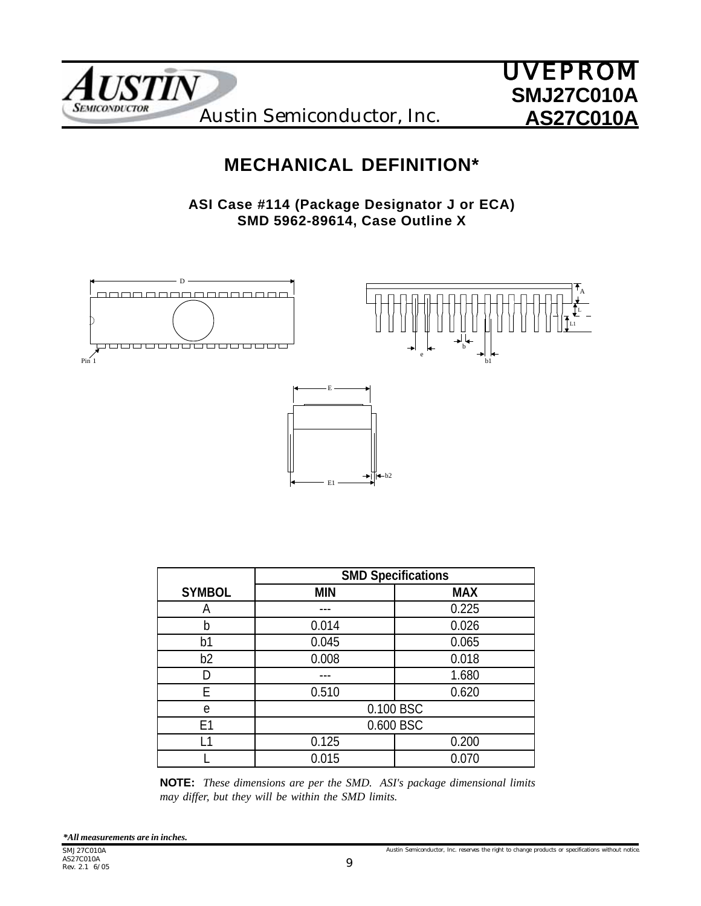



## **MECHANICAL DEFINITION\***

**ASI Case #114 (Package Designator J or ECA) SMD 5962-89614, Case Outline X**



|                | <b>SMD Specifications</b> |            |  |  |  |
|----------------|---------------------------|------------|--|--|--|
| <b>SYMBOL</b>  | <b>MIN</b>                | <b>MAX</b> |  |  |  |
| А              |                           | 0.225      |  |  |  |
| b              | 0.014                     | 0.026      |  |  |  |
| b1             | 0.045                     | 0.065      |  |  |  |
| b <sub>2</sub> | 0.008                     | 0.018      |  |  |  |
| D              |                           | 1.680      |  |  |  |
| F              | 0.510                     | 0.620      |  |  |  |
| e              |                           | 0.100 BSC  |  |  |  |
| E1             |                           | 0.600 BSC  |  |  |  |
| -1             | 0.125                     | 0.200      |  |  |  |
|                | 0.015<br>0.070            |            |  |  |  |
|                |                           |            |  |  |  |

**NOTE:** *These dimensions are per the SMD. ASI's package dimensional limits may differ, but they will be within the SMD limits.*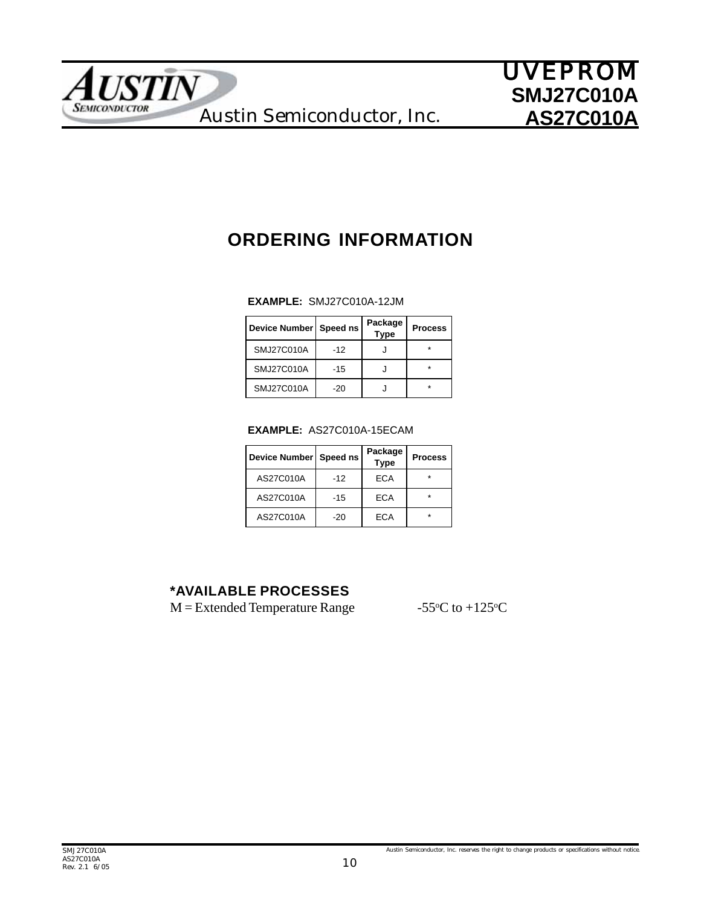

# **ORDERING INFORMATION**

#### **EXAMPLE:** SMJ27C010A-12JM

| Device Number   Speed ns |       | Package<br><b>Type</b> | <b>Process</b> |
|--------------------------|-------|------------------------|----------------|
| SMJ27C010A               | $-12$ |                        |                |
| SMJ27C010A               | $-15$ |                        |                |
| SMJ27C010A               | $-20$ |                        |                |

#### **EXAMPLE:** AS27C010A-15ECAM

| Device Number   Speed ns |       | Package<br><b>Type</b> | <b>Process</b> |
|--------------------------|-------|------------------------|----------------|
| AS27C010A                | $-12$ | <b>ECA</b>             |                |
| AS27C010A                | $-15$ | ECA                    | $\star$        |
| AS27C010A                | -20   | FCA                    |                |

### **\*AVAILABLE PROCESSES**

 $M =$  Extended Temperature Range

C to  $+125$ <sup>o</sup>C

Austin Semiconductor, Inc. reserves the right to change products or specifications without notice.